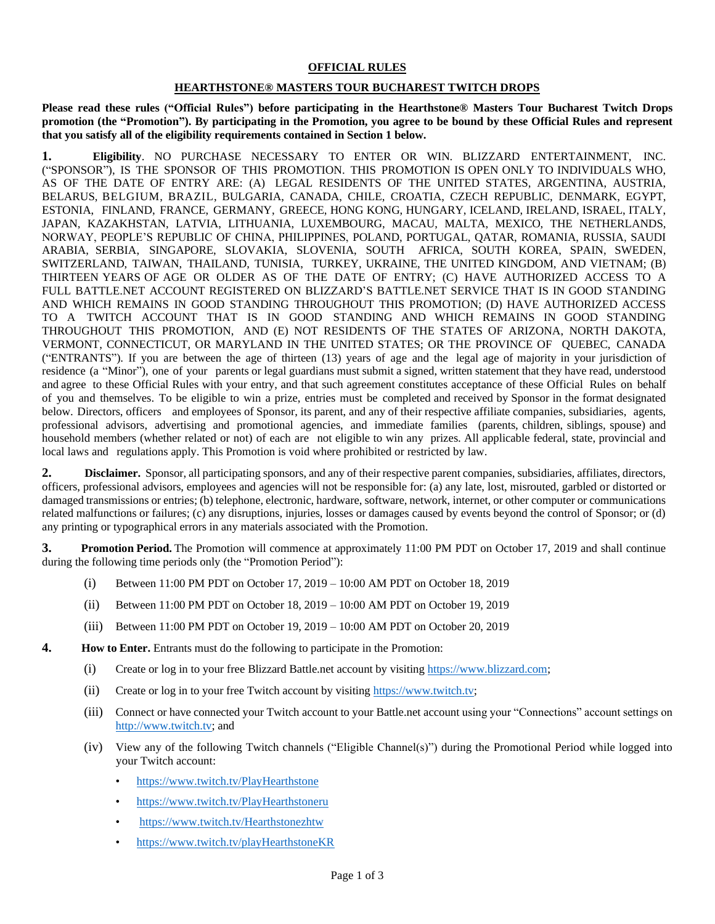## **OFFICIAL RULES**

## **HEARTHSTONE® MASTERS TOUR BUCHAREST TWITCH DROPS**

**Please read these rules ("Official Rules") before participating in the Hearthstone® Masters Tour Bucharest Twitch Drops promotion (the "Promotion"). By participating in the Promotion, you agree to be bound by these Official Rules and represent that you satisfy all of the eligibility requirements contained in Section 1 below.**

**1. Eligibility**. NO PURCHASE NECESSARY TO ENTER OR WIN. BLIZZARD ENTERTAINMENT, INC. ("SPONSOR"), IS THE SPONSOR OF THIS PROMOTION. THIS PROMOTION IS OPEN ONLY TO INDIVIDUALS WHO, AS OF THE DATE OF ENTRY ARE: (A) LEGAL RESIDENTS OF THE UNITED STATES, ARGENTINA, AUSTRIA, BELARUS, BELGIUM, BRAZIL, BULGARIA, CANADA, CHILE, CROATIA, CZECH REPUBLIC, DENMARK, EGYPT, ESTONIA, FINLAND, FRANCE, GERMANY, GREECE, HONG KONG, HUNGARY, ICELAND, IRELAND, ISRAEL, ITALY, JAPAN, KAZAKHSTAN, LATVIA, LITHUANIA, LUXEMBOURG, MACAU, MALTA, MEXICO, THE NETHERLANDS, NORWAY, PEOPLE'S REPUBLIC OF CHINA, PHILIPPINES, POLAND, PORTUGAL, QATAR, ROMANIA, RUSSIA, SAUDI ARABIA, SERBIA, SINGAPORE, SLOVAKIA, SLOVENIA, SOUTH AFRICA, SOUTH KOREA, SPAIN, SWEDEN, SWITZERLAND, TAIWAN, THAILAND, TUNISIA, TURKEY, UKRAINE, THE UNITED KINGDOM, AND VIETNAM; (B) THIRTEEN YEARS OF AGE OR OLDER AS OF THE DATE OF ENTRY; (C) HAVE AUTHORIZED ACCESS TO A FULL BATTLE.NET ACCOUNT REGISTERED ON BLIZZARD'S BATTLE.NET SERVICE THAT IS IN GOOD STANDING AND WHICH REMAINS IN GOOD STANDING THROUGHOUT THIS PROMOTION; (D) HAVE AUTHORIZED ACCESS TO A TWITCH ACCOUNT THAT IS IN GOOD STANDING AND WHICH REMAINS IN GOOD STANDING THROUGHOUT THIS PROMOTION, AND (E) NOT RESIDENTS OF THE STATES OF ARIZONA, NORTH DAKOTA, VERMONT, CONNECTICUT, OR MARYLAND IN THE UNITED STATES; OR THE PROVINCE OF QUEBEC, CANADA ("ENTRANTS"). If you are between the age of thirteen (13) years of age and the legal age of majority in your jurisdiction of residence (a "Minor"), one of your parents or legal guardians must submit a signed, written statement that they have read, understood and agree to these Official Rules with your entry, and that such agreement constitutes acceptance of these Official Rules on behalf of you and themselves. To be eligible to win a prize, entries must be completed and received by Sponsor in the format designated below. Directors, officers and employees of Sponsor, its parent, and any of their respective affiliate companies, subsidiaries, agents, professional advisors, advertising and promotional agencies, and immediate families (parents, children, siblings, spouse) and household members (whether related or not) of each are not eligible to win any prizes. All applicable federal, state, provincial and local laws and regulations apply. This Promotion is void where prohibited or restricted by law.

**2. Disclaimer.** Sponsor, all participating sponsors, and any of their respective parent companies, subsidiaries, affiliates, directors, officers, professional advisors, employees and agencies will not be responsible for: (a) any late, lost, misrouted, garbled or distorted or damaged transmissions or entries; (b) telephone, electronic, hardware, software, network, internet, or other computer or communications related malfunctions or failures; (c) any disruptions, injuries, losses or damages caused by events beyond the control of Sponsor; or (d) any printing or typographical errors in any materials associated with the Promotion.

**3. Promotion Period.** The Promotion will commence at approximately 11:00 PM PDT on October 17, 2019 and shall continue during the following time periods only (the "Promotion Period"):

- (i) Between 11:00 PM PDT on October 17, 2019 10:00 AM PDT on October 18, 2019
- (ii) Between 11:00 PM PDT on October 18, 2019 10:00 AM PDT on October 19, 2019
- (iii) Between 11:00 PM PDT on October 19, 2019 10:00 AM PDT on October 20, 2019
- **4. How to Enter.** Entrants must do the following to participate in the Promotion:
	- (i) Create or log in to your free Blizzard Battle.net account by visiting [https://www.blizzard.com;](https://www.blizzard.com/)
	- (ii) Create or log in to your free Twitch account by visitin[g https://www.twitch.tv;](https://www.twitch.tv/)
	- (iii) Connect or have connected your Twitch account to your Battle.net account using your "Connections" account settings on [http://www.twitch.tv;](http://www.twitch.tv/) and
	- (iv) View any of the following Twitch channels ("Eligible Channel(s)") during the Promotional Period while logged into your Twitch account:
		- <https://www.twitch.tv/PlayHearthstone>
		- <https://www.twitch.tv/PlayHearthstoneru>
		- <https://www.twitch.tv/Hearthstonezhtw>
		- <https://www.twitch.tv/playHearthstoneKR>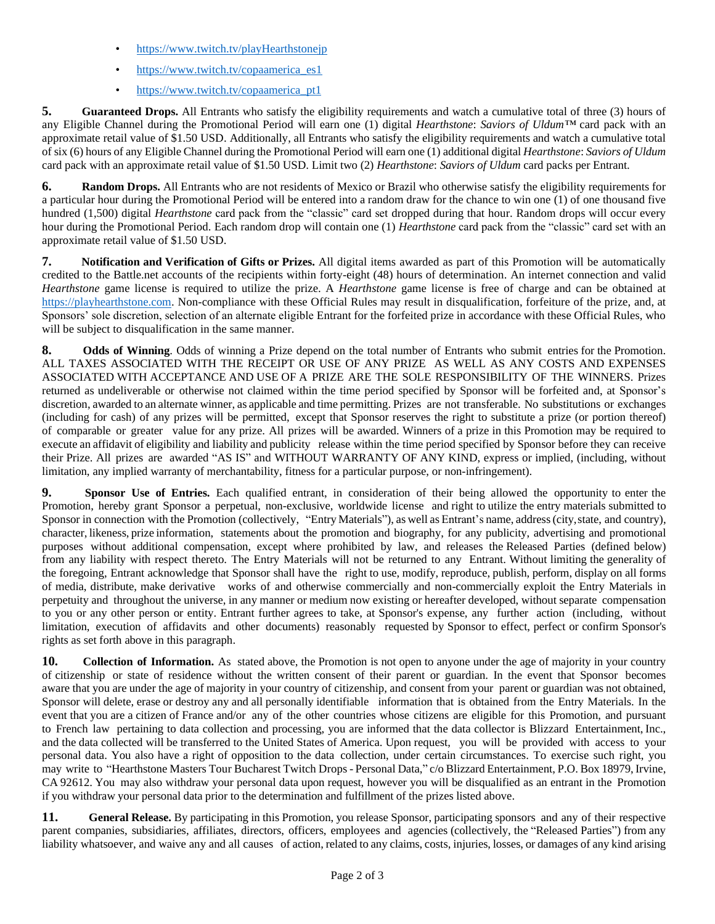- <https://www.twitch.tv/playHearthstonejp>
- [https://www.twitch.tv/copaamerica\\_es1](https://www.twitch.tv/copaamerica_es1)
- [https://www.twitch.tv/copaamerica\\_pt1](https://www.twitch.tv/copaamerica_pt1)

**5. Guaranteed Drops.** All Entrants who satisfy the eligibility requirements and watch a cumulative total of three (3) hours of any Eligible Channel during the Promotional Period will earn one (1) digital *Hearthstone*: *Saviors of Uldum™* card pack with an approximate retail value of \$1.50 USD. Additionally, all Entrants who satisfy the eligibility requirements and watch a cumulative total of six (6) hours of any Eligible Channel during the Promotional Period will earn one (1) additional digital *Hearthstone*: *Saviors of Uldum* card pack with an approximate retail value of \$1.50 USD. Limit two (2) *Hearthstone*: *Saviors of Uldum* card packs per Entrant.

**6. Random Drops.** All Entrants who are not residents of Mexico or Brazil who otherwise satisfy the eligibility requirements for a particular hour during the Promotional Period will be entered into a random draw for the chance to win one (1) of one thousand five hundred (1,500) digital *Hearthstone* card pack from the "classic" card set dropped during that hour. Random drops will occur every hour during the Promotional Period. Each random drop will contain one (1) *Hearthstone* card pack from the "classic" card set with an approximate retail value of \$1.50 USD.

**7. Notification and Verification of Gifts or Prizes.** All digital items awarded as part of this Promotion will be automatically credited to the Battle.net accounts of the recipients within forty-eight (48) hours of determination. An internet connection and valid *Hearthstone* game license is required to utilize the prize. A *Hearthstone* game license is free of charge and can be obtained at [https://playhearthstone.com.](https://playhearthstone.com/) Non-compliance with these Official Rules may result in disqualification, forfeiture of the prize, and, at Sponsors' sole discretion, selection of an alternate eligible Entrant for the forfeited prize in accordance with these Official Rules, who will be subject to disqualification in the same manner.

**8. Odds of Winning**. Odds of winning a Prize depend on the total number of Entrants who submit entries for the Promotion. ALL TAXES ASSOCIATED WITH THE RECEIPT OR USE OF ANY PRIZE AS WELL AS ANY COSTS AND EXPENSES ASSOCIATED WITH ACCEPTANCE AND USE OF A PRIZE ARE THE SOLE RESPONSIBILITY OF THE WINNERS. Prizes returned as undeliverable or otherwise not claimed within the time period specified by Sponsor will be forfeited and, at Sponsor's discretion, awarded to an alternate winner, as applicable and time permitting. Prizes are not transferable. No substitutions or exchanges (including for cash) of any prizes will be permitted, except that Sponsor reserves the right to substitute a prize (or portion thereof) of comparable or greater value for any prize. All prizes will be awarded. Winners of a prize in this Promotion may be required to execute an affidavit of eligibility and liability and publicity release within the time period specified by Sponsor before they can receive their Prize. All prizes are awarded "AS IS" and WITHOUT WARRANTY OF ANY KIND, express or implied, (including, without limitation, any implied warranty of merchantability, fitness for a particular purpose, or non-infringement).

**9. Sponsor Use of Entries.** Each qualified entrant, in consideration of their being allowed the opportunity to enter the Promotion, hereby grant Sponsor a perpetual, non-exclusive, worldwide license and right to utilize the entry materials submitted to Sponsor in connection with the Promotion (collectively, "Entry Materials"), as well as Entrant's name, address(city, state, and country), character, likeness, prize information, statements about the promotion and biography, for any publicity, advertising and promotional purposes without additional compensation, except where prohibited by law, and releases the Released Parties (defined below) from any liability with respect thereto. The Entry Materials will not be returned to any Entrant. Without limiting the generality of the foregoing, Entrant acknowledge that Sponsor shall have the right to use, modify, reproduce, publish, perform, display on all forms of media, distribute, make derivative works of and otherwise commercially and non-commercially exploit the Entry Materials in perpetuity and throughout the universe, in any manner or medium now existing or hereafter developed, without separate compensation to you or any other person or entity. Entrant further agrees to take, at Sponsor's expense, any further action (including, without limitation, execution of affidavits and other documents) reasonably requested by Sponsor to effect, perfect or confirm Sponsor's rights as set forth above in this paragraph.

**10. Collection of Information.** As stated above, the Promotion is not open to anyone under the age of majority in your country of citizenship or state of residence without the written consent of their parent or guardian. In the event that Sponsor becomes aware that you are under the age of majority in your country of citizenship, and consent from your parent or guardian was not obtained, Sponsor will delete, erase or destroy any and all personally identifiable information that is obtained from the Entry Materials. In the event that you are a citizen of France and/or any of the other countries whose citizens are eligible for this Promotion, and pursuant to French law pertaining to data collection and processing, you are informed that the data collector is Blizzard Entertainment, Inc., and the data collected will be transferred to the United States of America. Upon request, you will be provided with access to your personal data. You also have a right of opposition to the data collection, under certain circumstances. To exercise such right, you may write to "Hearthstone Masters Tour Bucharest Twitch Drops - Personal Data," c/o Blizzard Entertainment, P.O. Box 18979, Irvine, CA 92612. You may also withdraw your personal data upon request, however you will be disqualified as an entrant in the Promotion if you withdraw your personal data prior to the determination and fulfillment of the prizes listed above.

**11. General Release.** By participating in this Promotion, you release Sponsor, participating sponsors and any of their respective parent companies, subsidiaries, affiliates, directors, officers, employees and agencies (collectively, the "Released Parties") from any liability whatsoever, and waive any and all causes of action, related to any claims, costs, injuries, losses, or damages of any kind arising